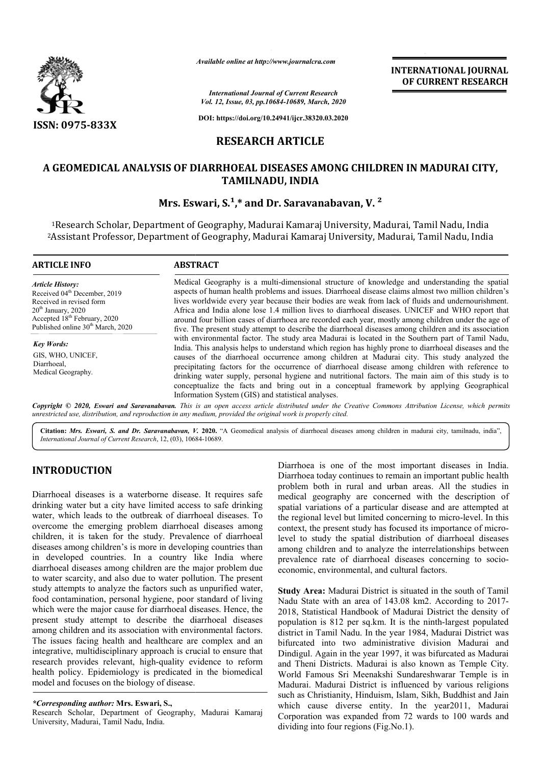

*Available online at http://www.journalcra.com*

*International Journal of Current Research Vol. 12, Issue, 03, pp.10684-10689, March, 2020*

**DOI: https://doi.org/10.24941/ijcr.38320.03.2020**

# **RESEARCH ARTICLE**

## **A GEOMEDICAL ANALYSIS OF DIARRHOEAL DISEASES AMONG CHILDREN IN MADURAI CITY, TAMILNADU, INDIA**

### **Mrs. Eswari, S.<sup>1</sup>,\* and Dr. Saravanabavan, V.<sup>2</sup>**

<sup>1</sup>Research Scholar, Department of Geography, Madurai Kamaraj University, Madurai, Tamil Nadu, India <sup>1</sup>Research Scholar, Department of Geography, Madurai Kamaraj University, Madurai, Tamil Nadu, India<br>2Assistant Professor, Department of Geography, Madurai Kamaraj University, Madurai, Tamil Nadu, India

| <b>ARTICLE INFO</b>                                                                                                                                                                                                  | <b>ABSTRACT</b><br>Medical Geography is a multi-dimensional structure of knowledge and understanding the spatial<br>aspects of human health problems and issues. Diarrhoeal disease claims almost two million children's<br>lives worldwide every year because their bodies are weak from lack of fluids and undernourishment.<br>Africa and India alone lose 1.4 million lives to diarrhoeal diseases. UNICEF and WHO report that<br>around four billion cases of diarrhoea are recorded each year, mostly among children under the age of<br>five. The present study attempt to describe the diarrhoeal diseases among children and its association<br>with environmental factor. The study area Madurai is located in the Southern part of Tamil Nadu,<br>India. This analysis helps to understand which region has highly prone to diarrhoeal diseases and the<br>causes of the diarrhoeal occurrence among children at Madurai city. This study analyzed the<br>precipitating factors for the occurrence of diarrhoeal disease among children with reference to<br>drinking water supply, personal hygiene and nutritional factors. The main aim of this study is to<br>conceptualize the facts and bring out in a conceptual framework by applying Geographical<br>Information System (GIS) and statistical analyses. |  |
|----------------------------------------------------------------------------------------------------------------------------------------------------------------------------------------------------------------------|-----------------------------------------------------------------------------------------------------------------------------------------------------------------------------------------------------------------------------------------------------------------------------------------------------------------------------------------------------------------------------------------------------------------------------------------------------------------------------------------------------------------------------------------------------------------------------------------------------------------------------------------------------------------------------------------------------------------------------------------------------------------------------------------------------------------------------------------------------------------------------------------------------------------------------------------------------------------------------------------------------------------------------------------------------------------------------------------------------------------------------------------------------------------------------------------------------------------------------------------------------------------------------------------------------------------------------|--|
| <b>Article History:</b><br>Received 04 <sup>th</sup> December, 2019<br>Received in revised form<br>$20th$ January, 2020<br>Accepted 18 <sup>th</sup> February, 2020<br>Published online 30 <sup>th</sup> March, 2020 |                                                                                                                                                                                                                                                                                                                                                                                                                                                                                                                                                                                                                                                                                                                                                                                                                                                                                                                                                                                                                                                                                                                                                                                                                                                                                                                             |  |
| <b>Key Words:</b><br>GIS, WHO, UNICEF,<br>Diarrhoeal,<br>Medical Geography.                                                                                                                                          |                                                                                                                                                                                                                                                                                                                                                                                                                                                                                                                                                                                                                                                                                                                                                                                                                                                                                                                                                                                                                                                                                                                                                                                                                                                                                                                             |  |

Copyright © 2020, Eswari and Saravanabavan. This is an open access article distributed under the Creative Commons Attribution License, which permits *unrestricted use, distribution, and reproduction in any medium, provided the original work is properly cited.*

Citation: *Mrs. Eswari, S. and Dr. Saravanabavan, V.* 2020. "A Geomedical analysis of diarrhoeal diseases among children in madurai city, tamilnadu, india", *International Journal of Current Research*, 12, (03), 10684 10684-10689.

# **INTRODUCTION**

Diarrhoeal diseases is a waterborne disease. It requires safe drinking water but a city have limited access to safe drinking water, which leads to the outbreak of diarrhoeal diseases. To overcome the emerging problem diarrhoeal diseases among children, it is taken for the study. Prevalence of diarrhoeal diseases among children's is more in developing countries than in developed countries. In a country like India where diarrhoeal diseases among children are the major problem due to water scarcity, and also due to water pollution. The present study attempts to analyze the factors such as unpurified water, food contamination, personal hygiene, poor standard of living which were the major cause for diarrhoeal diseases. Hence, the present study attempt to describe the diarrhoeal diseases among children and its association with environmental factors. The issues facing health and healthcare are complex and an integrative, multidisciplinary approach is crucial to ensure that research provides relevant, high-quality evidence to reform health policy. Epidemiology is predicated in the biomedical model and focuses on the biology of disease. **TRODUCTION**<br>
Diarrhoeal diseases is a waterborne disease. It requires safe<br>
problem both in rural and urban areas All the studies in<br>
problem both in rural and urban areas All the studies in<br>
highly water but a city have

### *\*Corresponding author:* **Mrs. Eswari, S.,**

Research Scholar, Department of Geography, Madurai Kamaraj University, Madurai, Tamil Nadu, India.

Diarrhoea today continues to remain an important public health problem both in rural and urban areas. All the studies in medical geography are concerned with the description of spatial variations of a particular disease and are attempted at the regional level but limited concerning to micro-level. In this context, the present study has focused its importance of microlevel to study the spatial distribution of diarrhoeal diseases among children and to analyze the interrelationships between prevalence rate of diarrhoeal diseases concerning to socio economic, environmental, and cultural factors. Diarrhoea is one of the most important diseases in India.<br>Diarrhoea today continues to remain an important public health<br>problem both in rural and urban areas. All the studies in<br>medical geography are concerned with the de to study the spatial distribution of diarrhoeal diseases<br>g children and to analyze the interrelationships between<br>lence rate of diarrhoeal diseases concerning to socio-

**INTERNATIONAL JOURNAL OF CURRENT RESEARCH**

**Study Area:** Madurai District is situated in the south of Tamil Study Area: Madurai District is situated in the south of Tamil<br>Nadu State with an area of 143.08 km2. According to 2017-2018, Statistical Handbook of Madurai District the density of 2018, Statistical Handbook of Madurai District the density of population is 812 per sq.km. It is the ninth-largest populated district in Tamil Nadu. In the year 1984, Madurai District was bifurcated into two administrative division Madurai and Dindigul. Again in the year 1997, it was bifurcated as Madurai and Theni Districts. Madurai is also known as Temple City. World Famous Sri Meenakshi Sundareshwarar Temple is in Madurai. Madurai District is influenced by various religions such as Christianity, Hinduism, Islam, Sikh, Buddhist and Jain which cause diverse entity. In the year2011, Madurai Corporation was expanded from 72 wards to 100 wards and dividing into four regions (Fig.No.1). dividing into four regions (Fig.No.1). bifurcated into two administrative division Madurai and Dindigul. Again in the year 1997, it was bifurcated as Madurai and Theni Districts. Madurai is also known as Temple City. World Famous Sri Meenakshi Sundareshwarar Te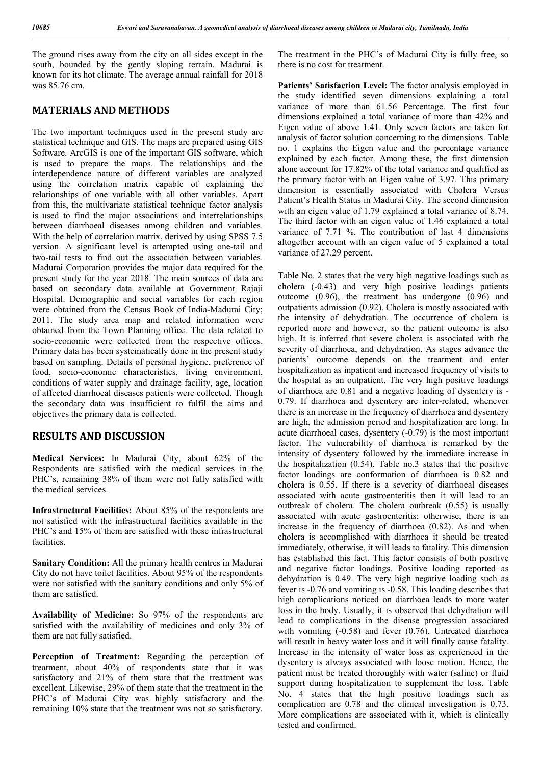The ground rises away from the city on all sides except in the south, bounded by the gently sloping terrain. Madurai is known for its hot climate. The average annual rainfall for 2018 was 85.76 cm.

### **MATERIALS AND METHODS**

The two important techniques used in the present study are statistical technique and GIS. The maps are prepared using GIS Software. ArcGIS is one of the important GIS software, which is used to prepare the maps. The relationships and the interdependence nature of different variables are analyzed using the correlation matrix capable of explaining the relationships of one variable with all other variables. Apart from this, the multivariate statistical technique factor analysis is used to find the major associations and interrelationships between diarrhoeal diseases among children and variables. With the help of correlation matrix, derived by using SPSS 7.5 version. A significant level is attempted using one-tail and two-tail tests to find out the association between variables. Madurai Corporation provides the major data required for the present study for the year 2018. The main sources of data are based on secondary data available at Government Rajaji Hospital. Demographic and social variables for each region were obtained from the Census Book of India-Madurai City; 2011. The study area map and related information were obtained from the Town Planning office. The data related to socio-economic were collected from the respective offices. Primary data has been systematically done in the present study based on sampling. Details of personal hygiene, preference of food, socio-economic characteristics, living environment, conditions of water supply and drainage facility, age, location of affected diarrhoeal diseases patients were collected. Though the secondary data was insufficient to fulfil the aims and objectives the primary data is collected.

### **RESULTS AND DISCUSSION**

**Medical Services:** In Madurai City, about 62% of the Respondents are satisfied with the medical services in the PHC's, remaining 38% of them were not fully satisfied with the medical services.

**Infrastructural Facilities:** About 85% of the respondents are not satisfied with the infrastructural facilities available in the PHC's and 15% of them are satisfied with these infrastructural facilities.

**Sanitary Condition:** All the primary health centres in Madurai City do not have toilet facilities. About 95% of the respondents were not satisfied with the sanitary conditions and only 5% of them are satisfied.

**Availability of Medicine:** So 97% of the respondents are satisfied with the availability of medicines and only 3% of them are not fully satisfied.

**Perception of Treatment:** Regarding the perception of treatment, about 40% of respondents state that it was satisfactory and 21% of them state that the treatment was excellent. Likewise, 29% of them state that the treatment in the PHC's of Madurai City was highly satisfactory and the remaining 10% state that the treatment was not so satisfactory.

The treatment in the PHC's of Madurai City is fully free, so there is no cost for treatment.

Patients' Satisfaction Level: The factor analysis employed in the study identified seven dimensions explaining a total variance of more than 61.56 Percentage. The first four dimensions explained a total variance of more than 42% and Eigen value of above 1.41. Only seven factors are taken for analysis of factor solution concerning to the dimensions. Table no. 1 explains the Eigen value and the percentage variance explained by each factor. Among these, the first dimension alone account for 17.82% of the total variance and qualified as the primary factor with an Eigen value of 3.97. This primary dimension is essentially associated with Cholera Versus Patient's Health Status in Madurai City. The second dimension with an eigen value of 1.79 explained a total variance of 8.74. The third factor with an eigen value of 1.46 explained a total variance of 7.71 %. The contribution of last 4 dimensions altogether account with an eigen value of 5 explained a total variance of 27.29 percent.

Table No. 2 states that the very high negative loadings such as cholera (-0.43) and very high positive loadings patients outcome (0.96), the treatment has undergone (0.96) and outpatients admission (0.92). Cholera is mostly associated with the intensity of dehydration. The occurrence of cholera is reported more and however, so the patient outcome is also high. It is inferred that severe cholera is associated with the severity of diarrhoea, and dehydration. As stages advance the patients' outcome depends on the treatment and enter hospitalization as inpatient and increased frequency of visits to the hospital as an outpatient. The very high positive loadings of diarrhoea are 0.81 and a negative loading of dysentery is - 0.79. If diarrhoea and dysentery are inter-related, whenever there is an increase in the frequency of diarrhoea and dysentery are high, the admission period and hospitalization are long. In acute diarrhoeal cases, dysentery (-0.79) is the most important factor. The vulnerability of diarrhoea is remarked by the intensity of dysentery followed by the immediate increase in the hospitalization (0.54). Table no.3 states that the positive factor loadings are conformation of diarrhoea is 0.82 and cholera is 0.55. If there is a severity of diarrhoeal diseases associated with acute gastroenteritis then it will lead to an outbreak of cholera. The cholera outbreak (0.55) is usually associated with acute gastroenteritis; otherwise, there is an increase in the frequency of diarrhoea (0.82). As and when cholera is accomplished with diarrhoea it should be treated immediately, otherwise, it will leads to fatality. This dimension has established this fact. This factor consists of both positive and negative factor loadings. Positive loading reported as dehydration is 0.49. The very high negative loading such as fever is -0.76 and vomiting is -0.58. This loading describes that high complications noticed on diarrhoea leads to more water loss in the body. Usually, it is observed that dehydration will lead to complications in the disease progression associated with vomiting (-0.58) and fever (0.76). Untreated diarrhoea will result in heavy water loss and it will finally cause fatality. Increase in the intensity of water loss as experienced in the dysentery is always associated with loose motion. Hence, the patient must be treated thoroughly with water (saline) or fluid support during hospitalization to supplement the loss. Table No. 4 states that the high positive loadings such as complication are 0.78 and the clinical investigation is 0.73. More complications are associated with it, which is clinically tested and confirmed.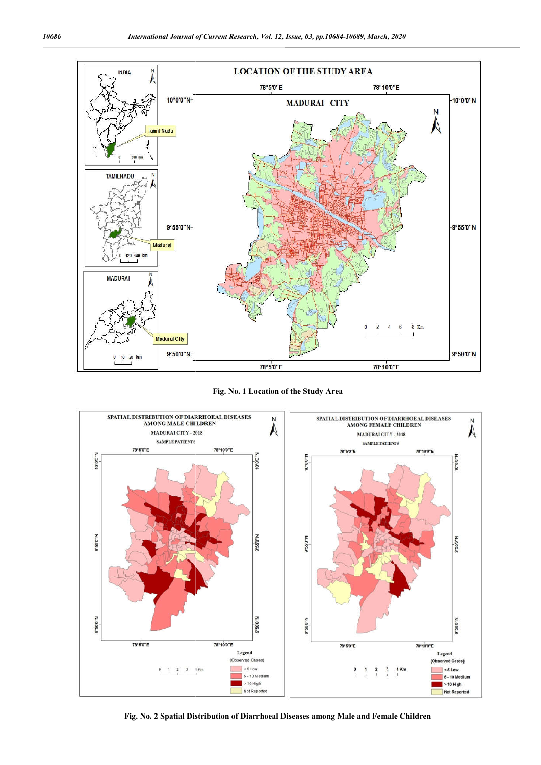

**Fig. No. 1 Location of the Study Area**



**Fig. No. 2 Spatial Distribution of Diarrhoeal Diseases among Male and Female Spatial Distribution of Diarrhoeal Children**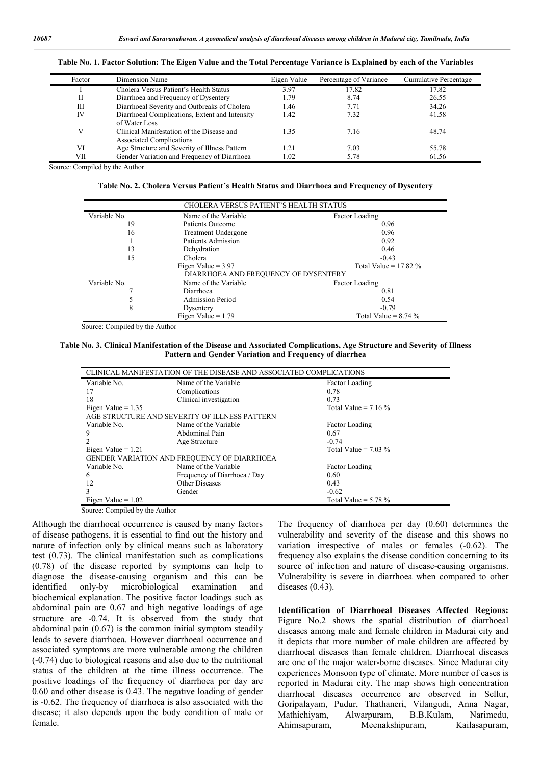| Factor | Dimension Name                                                               | Eigen Value | Percentage of Variance | Cumulative Percentage |
|--------|------------------------------------------------------------------------------|-------------|------------------------|-----------------------|
|        | Cholera Versus Patient's Health Status                                       | 3.97        | 17.82                  | 17.82                 |
| П      | Diarrhoea and Frequency of Dysentery                                         | 1.79        | 8.74                   | 26.55                 |
| III    | Diarrhoeal Severity and Outbreaks of Cholera                                 | 1.46        | 7.71                   | 34.26                 |
| IV     | Diarrhoeal Complications, Extent and Intensity<br>of Water Loss              | 1.42        | 7.32                   | 41.58                 |
| V      | Clinical Manifestation of the Disease and<br><b>Associated Complications</b> | 1.35        | 7.16                   | 48.74                 |
| VI     | Age Structure and Severity of Illness Pattern                                | 1.21        | 7.03                   | 55.78                 |
| VІІ    | Gender Variation and Frequency of Diarrhoea                                  | 1.02        | 5.78                   | 61.56                 |

**Table No. 1. Factor Solution: The Eigen Value and the Total Percentage Variance is Explained by each of the Variables**

Source: Compiled by the Author

**Table No. 2. Cholera Versus Patient's Health Status and Diarrhoea and Frequency of Dysentery**

|              | <b>CHOLERA VERSUS PATIENT'S HEALTH STATUS</b>                                           |                        |  |  |  |
|--------------|-----------------------------------------------------------------------------------------|------------------------|--|--|--|
| Variable No. | Name of the Variable                                                                    | Factor Loading         |  |  |  |
| 19           | Patients Outcome                                                                        | 0.96                   |  |  |  |
| 16           | <b>Treatment Undergone</b>                                                              | 0.96                   |  |  |  |
|              | Patients Admission                                                                      | 0.92                   |  |  |  |
| 13           | Dehydration                                                                             | 0.46                   |  |  |  |
| 15           | Cholera                                                                                 | $-0.43$                |  |  |  |
|              | Eigen Value = $3.97$<br>Total Value = $17.82\%$<br>DIARRHOEA AND FREQUENCY OF DYSENTERY |                        |  |  |  |
| Variable No. | Name of the Variable                                                                    | Factor Loading         |  |  |  |
|              | Diarrhoea                                                                               | 0.81                   |  |  |  |
|              | <b>Admission Period</b>                                                                 | 0.54                   |  |  |  |
| 8            | Dysentery                                                                               | $-0.79$                |  |  |  |
|              | Eigen Value $= 1.79$                                                                    | Total Value = $8.74\%$ |  |  |  |

Source: Compiled by the Author

**Table No. 3. Clinical Manifestation of the Disease and Associated Complications, Age Structure and Severity of Illness Pattern and Gender Variation and Frequency of diarrhea**

| CLINICAL MANIFESTATION OF THE DISEASE AND ASSOCIATED COMPLICATIONS |                              |                        |  |  |
|--------------------------------------------------------------------|------------------------------|------------------------|--|--|
| Variable No.                                                       | Name of the Variable         | Factor Loading         |  |  |
| 17                                                                 | Complications                | 0.78                   |  |  |
| 18                                                                 | Clinical investigation       | 0.73                   |  |  |
| Eigen Value = $1.35$                                               |                              | Total Value = $7.16\%$ |  |  |
| AGE STRUCTURE AND SEVERITY OF ILLNESS PATTERN                      |                              |                        |  |  |
| Variable No.                                                       | Name of the Variable         | Factor Loading         |  |  |
| 9                                                                  | Abdominal Pain               | 0.67                   |  |  |
|                                                                    | Age Structure                | $-0.74$                |  |  |
| Eigen Value $= 1.21$                                               |                              | Total Value = $7.03\%$ |  |  |
| <b>GENDER VARIATION AND FREQUENCY OF DIARRHOEA</b>                 |                              |                        |  |  |
| Variable No.                                                       | Name of the Variable         | Factor Loading         |  |  |
| 6                                                                  | Frequency of Diarrhoea / Day | 0.60                   |  |  |
| 12                                                                 | Other Diseases               | 0.43                   |  |  |
| 3                                                                  | Gender                       | $-0.62$                |  |  |
| Eigen Value = $1.02$                                               |                              | Total Value = $5.78\%$ |  |  |

Source: Compiled by the Author

Although the diarrhoeal occurrence is caused by many factors of disease pathogens, it is essential to find out the history and nature of infection only by clinical means such as laboratory test (0.73). The clinical manifestation such as complications (0.78) of the disease reported by symptoms can help to diagnose the disease-causing organism and this can be identified only-by microbiological examination and biochemical explanation. The positive factor loadings such as abdominal pain are 0.67 and high negative loadings of age structure are -0.74. It is observed from the study that abdominal pain (0.67) is the common initial symptom steadily leads to severe diarrhoea. However diarrhoeal occurrence and associated symptoms are more vulnerable among the children (-0.74) due to biological reasons and also due to the nutritional status of the children at the time illness occurrence. The positive loadings of the frequency of diarrhoea per day are 0.60 and other disease is 0.43. The negative loading of gender is -0.62. The frequency of diarrhoea is also associated with the disease; it also depends upon the body condition of male or female.

The frequency of diarrhoea per day (0.60) determines the vulnerability and severity of the disease and this shows no variation irrespective of males or females (-0.62). The frequency also explains the disease condition concerning to its source of infection and nature of disease-causing organisms. Vulnerability is severe in diarrhoea when compared to other diseases (0.43).

**Identification of Diarrhoeal Diseases Affected Regions:**  Figure No.2 shows the spatial distribution of diarrhoeal diseases among male and female children in Madurai city and it depicts that more number of male children are affected by diarrhoeal diseases than female children. Diarrhoeal diseases are one of the major water-borne diseases. Since Madurai city experiences Monsoon type of climate. More number of cases is reported in Madurai city. The map shows high concentration diarrhoeal diseases occurrence are observed in Sellur, Goripalayam, Pudur, Thathaneri, Vilangudi, Anna Nagar, Mathichiyam, Alwarpuram, B.B.Kulam, Ahimsapuram, Meenakshipuram, Kailasapuram,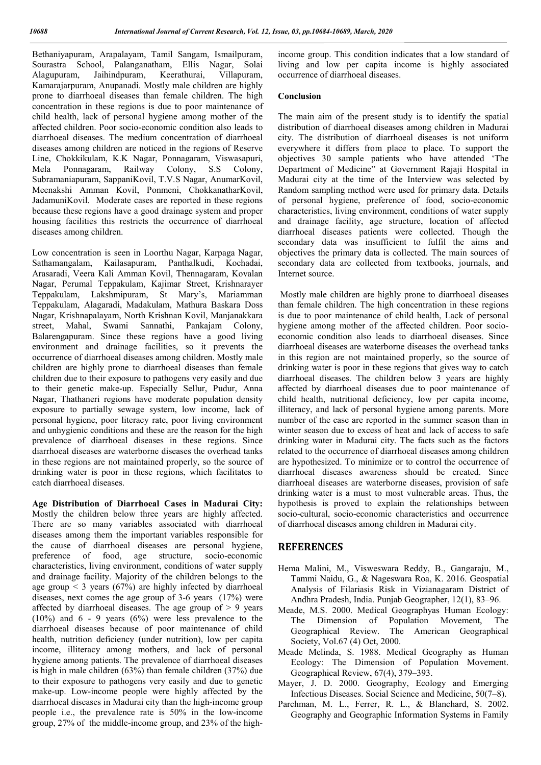Bethaniyapuram, Arapalayam, Tamil Sangam, Ismailpuram, Sourastra School, Palanganatham, Ellis Nagar, Solai Alagupuram, Jaihindpuram, Keerathurai, Villapuram, Kamarajarpuram, Anupanadi. Mostly male children are highly prone to diarrhoeal diseases than female children. The high concentration in these regions is due to poor maintenance of child health, lack of personal hygiene among mother of the affected children. Poor socio-economic condition also leads to diarrhoeal diseases. The medium concentration of diarrhoeal diseases among children are noticed in the regions of Reserve Line, Chokkikulam, K.K Nagar, Ponnagaram, Viswasapuri, Mela Ponnagaram, Railway Colony, S.S Colony, Subramaniapuram, SappaniKovil, T.V.S Nagar, AnumarKovil, Meenakshi Amman Kovil, Ponmeni, ChokkanatharKovil, JadamuniKovil. Moderate cases are reported in these regions because these regions have a good drainage system and proper housing facilities this restricts the occurrence of diarrhoeal diseases among children.

Low concentration is seen in Loorthu Nagar, Karpaga Nagar, Sathamangalam, Kailasapuram, Panthalkudi, Kochadai, Arasaradi, Veera Kali Amman Kovil, Thennagaram, Kovalan Nagar, Perumal Teppakulam, Kajimar Street, Krishnarayer Teppakulam, Lakshmipuram, St Mary's, Mariamman Teppakulam, Alagaradi, Madakulam, Mathura Baskara Doss Nagar, Krishnapalayam, North Krishnan Kovil, Manjanakkara street, Mahal, Swami Sannathi, Pankajam Colony, Balarengapuram. Since these regions have a good living environment and drainage facilities, so it prevents the occurrence of diarrhoeal diseases among children. Mostly male children are highly prone to diarrhoeal diseases than female children due to their exposure to pathogens very easily and due to their genetic make-up. Especially Sellur, Pudur, Anna Nagar, Thathaneri regions have moderate population density exposure to partially sewage system, low income, lack of personal hygiene, poor literacy rate, poor living environment and unhygienic conditions and these are the reason for the high prevalence of diarrhoeal diseases in these regions. Since diarrhoeal diseases are waterborne diseases the overhead tanks in these regions are not maintained properly, so the source of drinking water is poor in these regions, which facilitates to catch diarrhoeal diseases.

**Age Distribution of Diarrhoeal Cases in Madurai City:**  Mostly the children below three years are highly affected. There are so many variables associated with diarrhoeal diseases among them the important variables responsible for the cause of diarrhoeal diseases are personal hygiene, preference of food, age structure, socio-economic characteristics, living environment, conditions of water supply and drainage facility. Majority of the children belongs to the age group  $\leq$  3 years (67%) are highly infected by diarrhoeal diseases, next comes the age group of 3-6 years (17%) were affected by diarrhoeal diseases. The age group of  $> 9$  years (10%) and 6 - 9 years (6%) were less prevalence to the diarrhoeal diseases because of poor maintenance of child health, nutrition deficiency (under nutrition), low per capita income, illiteracy among mothers, and lack of personal hygiene among patients. The prevalence of diarrhoeal diseases is high in male children (63%) than female children (37%) due to their exposure to pathogens very easily and due to genetic make-up. Low-income people were highly affected by the diarrhoeal diseases in Madurai city than the high-income group people i.e., the prevalence rate is 50% in the low-income group, 27% of the middle-income group, and 23% of the highincome group. This condition indicates that a low standard of living and low per capita income is highly associated occurrence of diarrhoeal diseases.

#### **Conclusion**

The main aim of the present study is to identify the spatial distribution of diarrhoeal diseases among children in Madurai city. The distribution of diarrhoeal diseases is not uniform everywhere it differs from place to place. To support the objectives 30 sample patients who have attended 'The Department of Medicine" at Government Rajaji Hospital in Madurai city at the time of the Interview was selected by Random sampling method were used for primary data. Details of personal hygiene, preference of food, socio-economic characteristics, living environment, conditions of water supply and drainage facility, age structure, location of affected diarrhoeal diseases patients were collected. Though the secondary data was insufficient to fulfil the aims and objectives the primary data is collected. The main sources of secondary data are collected from textbooks, journals, and Internet source.

Mostly male children are highly prone to diarrhoeal diseases than female children. The high concentration in these regions is due to poor maintenance of child health, Lack of personal hygiene among mother of the affected children. Poor socioeconomic condition also leads to diarrhoeal diseases. Since diarrhoeal diseases are waterborne diseases the overhead tanks in this region are not maintained properly, so the source of drinking water is poor in these regions that gives way to catch diarrhoeal diseases. The children below 3 years are highly affected by diarrhoeal diseases due to poor maintenance of child health, nutritional deficiency, low per capita income, illiteracy, and lack of personal hygiene among parents. More number of the case are reported in the summer season than in winter season due to excess of heat and lack of access to safe drinking water in Madurai city. The facts such as the factors related to the occurrence of diarrhoeal diseases among children are hypothesized. To minimize or to control the occurrence of diarrhoeal diseases awareness should be created. Since diarrhoeal diseases are waterborne diseases, provision of safe drinking water is a must to most vulnerable areas. Thus, the hypothesis is proved to explain the relationships between socio-cultural, socio-economic characteristics and occurrence of diarrhoeal diseases among children in Madurai city.

#### **REFERENCES**

- Hema Malini, M., Visweswara Reddy, B., Gangaraju, M., Tammi Naidu, G., & Nageswara Roa, K. 2016. Geospatial Analysis of Filariasis Risk in Vizianagaram District of Andhra Pradesh, India. Punjab Geographer, 12(1), 83–96.
- Meade, M.S. 2000. Medical Geographyas Human Ecology: The Dimension of Population Movement, The Geographical Review. The American Geographical Society, Vol.67 (4) Oct, 2000.
- Meade Melinda, S. 1988. Medical Geography as Human Ecology: The Dimension of Population Movement. Geographical Review, 67(4), 379–393.
- Mayer, J. D. 2000. Geography, Ecology and Emerging Infectious Diseases. Social Science and Medicine, 50(7–8).
- Parchman, M. L., Ferrer, R. L., & Blanchard, S. 2002. Geography and Geographic Information Systems in Family